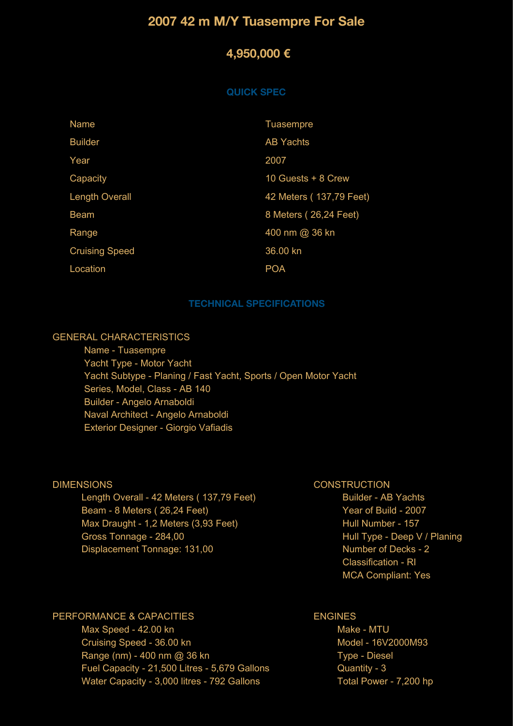# **2007 42 m M/Y Tuasempre For Sale**

## **4,950,000 €**

#### **QUICK SPEC**

| <b>Name</b>           | <b>Tuasempre</b>         |
|-----------------------|--------------------------|
| <b>Builder</b>        | <b>AB Yachts</b>         |
| Year                  | 2007                     |
| Capacity              | 10 Guests + 8 Crew       |
| <b>Length Overall</b> | 42 Meters ( 137,79 Feet) |
| <b>Beam</b>           | 8 Meters (26,24 Feet)    |
| Range                 | 400 nm @ 36 kn           |
| <b>Cruising Speed</b> | 36.00 kn                 |
| Location              | <b>POA</b>               |

#### **TECHNICAL SPECIFICATIONS**

## GENERAL CHARACTERISTICS

 Name - Tuasempre Yacht Type - Motor Yacht Yacht Subtype - Planing / Fast Yacht, Sports / Open Motor Yacht Series, Model, Class - AB 140 Builder - Angelo Arnaboldi Naval Architect - Angelo Arnaboldi Exterior Designer - Giorgio Vafiadis

#### DIMENSIONS

 Length Overall - 42 Meters ( 137,79 Feet) Beam - 8 Meters ( 26,24 Feet) Max Draught - 1,2 Meters (3,93 Feet) Gross Tonnage - 284,00 Displacement Tonnage: 131,00

#### **CONSTRUCTION**

 Builder - AB Yachts Year of Build - 2007 Hull Number - 157 Hull Type - Deep V / Planing Number of Decks - 2 Classification - RI MCA Compliant: Yes

### PERFORMANCE & CAPACITIES

 Max Speed - 42.00 kn Cruising Speed - 36.00 kn Range (nm) - 400 nm @ 36 kn Fuel Capacity - 21,500 Litres - 5,679 Gallons Water Capacity - 3,000 litres - 792 Gallons

## ENGINES

 Make - MTU Model - 16V2000M93 Type - Diesel Quantity - 3 Total Power - 7,200 hp